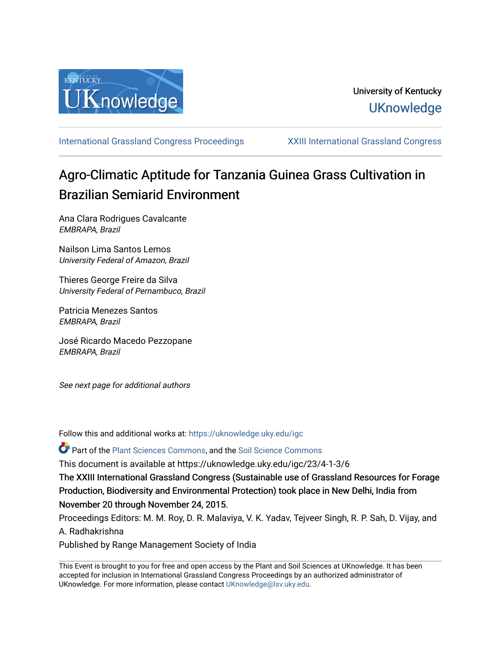

[International Grassland Congress Proceedings](https://uknowledge.uky.edu/igc) [XXIII International Grassland Congress](https://uknowledge.uky.edu/igc/23) 

# Agro-Climatic Aptitude for Tanzania Guinea Grass Cultivation in Brazilian Semiarid Environment

Ana Clara Rodrigues Cavalcante EMBRAPA, Brazil

Nailson Lima Santos Lemos University Federal of Amazon, Brazil

Thieres George Freire da Silva University Federal of Pernambuco, Brazil

Patricia Menezes Santos EMBRAPA, Brazil

José Ricardo Macedo Pezzopane EMBRAPA, Brazil

See next page for additional authors

Follow this and additional works at: [https://uknowledge.uky.edu/igc](https://uknowledge.uky.edu/igc?utm_source=uknowledge.uky.edu%2Figc%2F23%2F4-1-3%2F6&utm_medium=PDF&utm_campaign=PDFCoverPages) 

Part of the [Plant Sciences Commons](http://network.bepress.com/hgg/discipline/102?utm_source=uknowledge.uky.edu%2Figc%2F23%2F4-1-3%2F6&utm_medium=PDF&utm_campaign=PDFCoverPages), and the [Soil Science Commons](http://network.bepress.com/hgg/discipline/163?utm_source=uknowledge.uky.edu%2Figc%2F23%2F4-1-3%2F6&utm_medium=PDF&utm_campaign=PDFCoverPages) 

This document is available at https://uknowledge.uky.edu/igc/23/4-1-3/6

The XXIII International Grassland Congress (Sustainable use of Grassland Resources for Forage Production, Biodiversity and Environmental Protection) took place in New Delhi, India from November 20 through November 24, 2015.

Proceedings Editors: M. M. Roy, D. R. Malaviya, V. K. Yadav, Tejveer Singh, R. P. Sah, D. Vijay, and A. Radhakrishna

Published by Range Management Society of India

This Event is brought to you for free and open access by the Plant and Soil Sciences at UKnowledge. It has been accepted for inclusion in International Grassland Congress Proceedings by an authorized administrator of UKnowledge. For more information, please contact [UKnowledge@lsv.uky.edu](mailto:UKnowledge@lsv.uky.edu).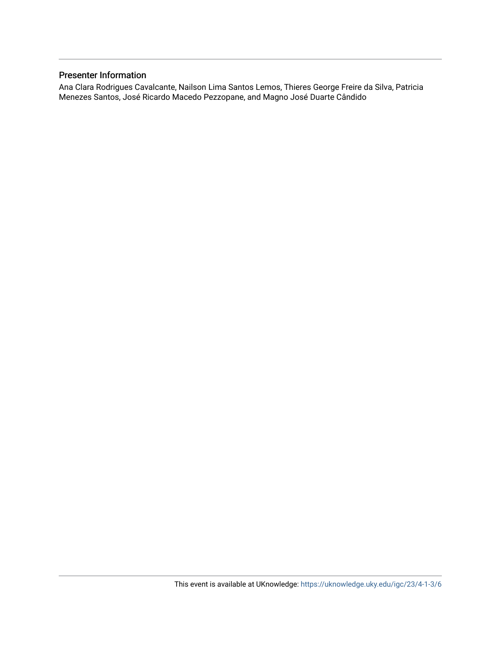# Presenter Information

Ana Clara Rodrigues Cavalcante, Nailson Lima Santos Lemos, Thieres George Freire da Silva, Patricia Menezes Santos, José Ricardo Macedo Pezzopane, and Magno José Duarte Cândido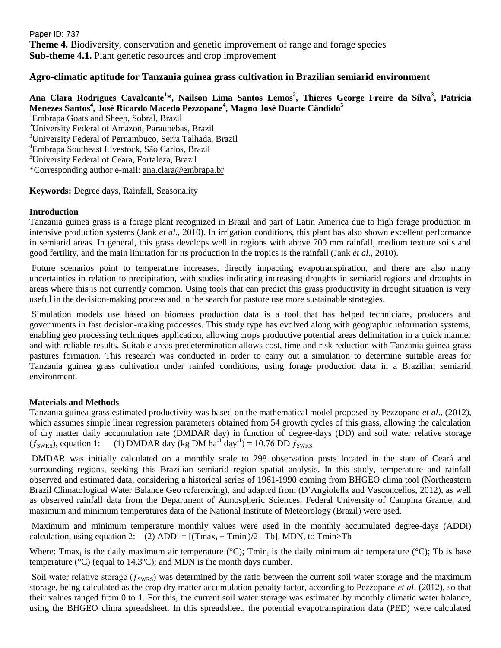Paper ID: 737 **Theme 4.** Biodiversity, conservation and genetic improvement of range and forage species **Sub-theme 4.1.** Plant genetic resources and crop improvement

# **Agro-climatic aptitude for Tanzania guinea grass cultivation in Brazilian semiarid environment**

# **Ana Clara Rodrigues Cavalcante<sup>1</sup> \*, Nailson Lima Santos Lemos<sup>2</sup> , Thieres George Freire da Silva<sup>3</sup> , Patricia Menezes Santos<sup>4</sup> , José Ricardo Macedo Pezzopane<sup>4</sup> , Magno José Duarte Cândido<sup>5</sup>**

<sup>1</sup>Embrapa Goats and Sheep, Sobral, Brazil <sup>2</sup>University Federal of Amazon, Paraupebas, Brazil <sup>3</sup>University Federal of Pernambuco, Serra Talhada, Brazil <sup>4</sup>Embrapa Southeast Livestock, São Carlos, Brazil <sup>5</sup>University Federal of Ceara, Fortaleza, Brazil \*Corresponding author e-mail: [ana.clara@embrapa.br](mailto:ana.clara@embrapa.br)

## **Keywords:** Degree days, Rainfall, Seasonality

## **Introduction**

Tanzania guinea grass is a forage plant recognized in Brazil and part of Latin America due to high forage production in intensive production systems (Jank *et al*., 2010). In irrigation conditions, this plant has also shown excellent performance in semiarid areas. In general, this grass develops well in regions with above 700 mm rainfall, medium texture soils and good fertility, and the main limitation for its production in the tropics is the rainfall (Jank *et al*., 2010).

Future scenarios point to temperature increases, directly impacting evapotranspiration, and there are also many uncertainties in relation to precipitation, with studies indicating increasing droughts in semiarid regions and droughts in areas where this is not currently common. Using tools that can predict this grass productivity in drought situation is very useful in the decision-making process and in the search for pasture use more sustainable strategies.

Simulation models use based on biomass production data is a tool that has helped technicians, producers and governments in fast decision-making processes. This study type has evolved along with geographic information systems, enabling geo processing techniques application, allowing crops productive potential areas delimitation in a quick manner and with reliable results. Suitable areas predetermination allows cost, time and risk reduction with Tanzania guinea grass pastures formation. This research was conducted in order to carry out a simulation to determine suitable areas for Tanzania guinea grass cultivation under rainfed conditions, using forage production data in a Brazilian semiarid environment.

## **Materials and Methods**

Tanzania guinea grass estimated productivity was based on the mathematical model proposed by Pezzopane *et al*., (2012), which assumes simple linear regression parameters obtained from 54 growth cycles of this grass, allowing the calculation of dry matter daily accumulation rate (DMDAR day) in function of degree-days (DD) and soil water relative storage  $(f<sub>swRS</sub>)$ , equation 1: (1) DMDAR day (kg DM ha<sup>-1</sup> day<sup>-1</sup>) = 10.76 DD  $f<sub>swRS</sub>$ 

DMDAR was initially calculated on a monthly scale to 298 observation posts located in the state of Ceará and surrounding regions, seeking this Brazilian semiarid region spatial analysis. In this study, temperature and rainfall observed and estimated data, considering a historical series of 1961-1990 coming from BHGEO clima tool (Northeastern Brazil Climatological Water Balance Geo referencing), and adapted from (D'Angiolella and Vasconcellos, 2012), as well as observed rainfall data from the Department of Atmospheric Sciences, Federal University of Campina Grande, and maximum and minimum temperatures data of the National Institute of Meteorology (Brazil) were used.

Maximum and minimum temperature monthly values were used in the monthly accumulated degree-days (ADDi) calculation, using equation 2: (2)  $ADDi = [(Tmax_i + Tmin_i)/2 - Tb]$ . MDN, to  $Tmin > Tb$ 

Where: Tmax<sub>i</sub> is the daily maximum air temperature (°C); Tmin<sub>i</sub> is the daily minimum air temperature (°C); Tb is base temperature ( $^{\circ}$ C) (equal to 14.3 $^{\circ}$ C); and MDN is the month days number.

Soil water relative storage ( $f_{SWRS}$ ) was determined by the ratio between the current soil water storage and the maximum storage, being calculated as the crop dry matter accumulation penalty factor, according to Pezzopane *et al*. (2012), so that their values ranged from 0 to 1. For this, the current soil water storage was estimated by monthly climatic water balance, using the BHGEO clima spreadsheet. In this spreadsheet, the potential evapotranspiration data (PED) were calculated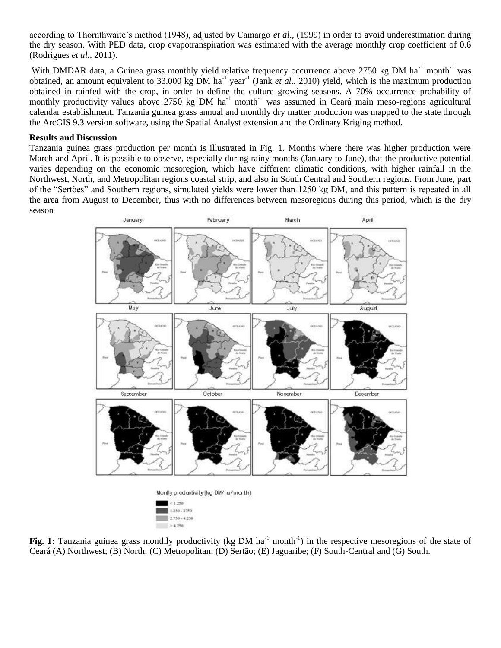according to Thornthwaite's method (1948), adjusted by Camargo *et al*., (1999) in order to avoid underestimation during the dry season. With PED data, crop evapotranspiration was estimated with the average monthly crop coefficient of 0.6 (Rodrigues *et al.,* 2011).

With DMDAR data, a Guinea grass monthly yield relative frequency occurrence above 2750 kg DM ha<sup>-1</sup> month<sup>-1</sup> was obtained, an amount equivalent to 33.000 kg DM ha<sup>-1</sup> year<sup>-1</sup> (Jank *et al.*, 2010) yield, which is the maximum production obtained in rainfed with the crop, in order to define the culture growing seasons. A 70% occurrence probability of monthly productivity values above 2750 kg DM  $ha^{-1}$  month<sup>-1</sup> was assumed in Ceará main meso-regions agricultural calendar establishment. Tanzania guinea grass annual and monthly dry matter production was mapped to the state through the ArcGIS 9.3 version software, using the Spatial Analyst extension and the Ordinary Kriging method.

#### **Results and Discussion**

Tanzania guinea grass production per month is illustrated in Fig. 1. Months where there was higher production were March and April. It is possible to observe, especially during rainy months (January to June), that the productive potential varies depending on the economic mesoregion, which have different climatic conditions, with higher rainfall in the Northwest, North, and Metropolitan regions coastal strip, and also in South Central and Southern regions. From June, part of the "Sertões" and Southern regions, simulated yields were lower than 1250 kg DM, and this pattern is repeated in all the area from August to December, thus with no differences between mesoregions during this period, which is the dry season



Fig. 1: Tanzania guinea grass monthly productivity (kg DM ha<sup>-1</sup> month<sup>-1</sup>) in the respective mesoregions of the state of Ceará (A) Northwest; (B) North; (C) Metropolitan; (D) Sertão; (E) Jaguaribe; (F) South-Central and (G) South.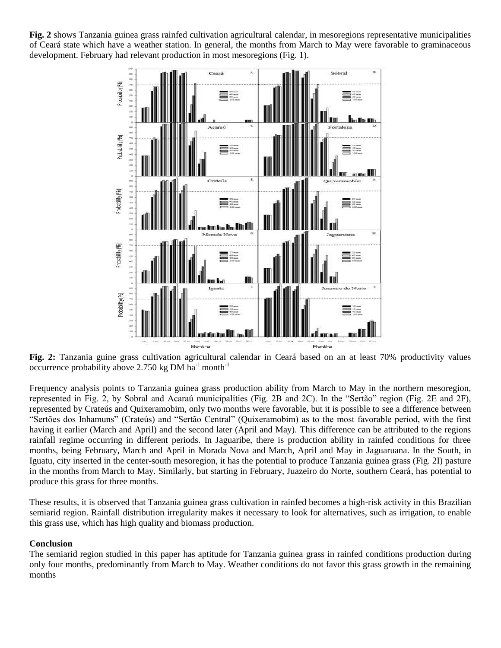**Fig. 2** shows Tanzania guinea grass rainfed cultivation agricultural calendar, in mesoregions representative municipalities of Ceará state which have a weather station. In general, the months from March to May were favorable to graminaceous development. February had relevant production in most mesoregions (Fig. 1).



**Fig. 2:** Tanzania guine grass cultivation agricultural calendar in Ceará based on an at least 70% productivity values occurrence probability above 2.750 kg DM  $ha^{-1}$  month<sup>-1</sup>

Frequency analysis points to Tanzania guinea grass production ability from March to May in the northern mesoregion, represented in Fig. 2, by Sobral and Acaraú municipalities (Fig. 2B and 2C). In the "Sertão" region (Fig. 2E and 2F), represented by Crateús and Quixeramobim, only two months were favorable, but it is possible to see a difference between "Sertões dos Inhamuns" (Crateús) and "Sertão Central" (Quixeramobim) as to the most favorable period, with the first having it earlier (March and April) and the second later (April and May). This difference can be attributed to the regions rainfall regime occurring in different periods. In Jaguaribe, there is production ability in rainfed conditions for three months, being February, March and April in Morada Nova and March, April and May in Jaguaruana. In the South, in Iguatu, city inserted in the center-south mesoregion, it has the potential to produce Tanzania guinea grass (Fig. 2I) pasture in the months from March to May. Similarly, but starting in February, Juazeiro do Norte, southern Ceará, has potential to produce this grass for three months.

These results, it is observed that Tanzania guinea grass cultivation in rainfed becomes a high-risk activity in this Brazilian semiarid region. Rainfall distribution irregularity makes it necessary to look for alternatives, such as irrigation, to enable this grass use, which has high quality and biomass production.

#### **Conclusion**

The semiarid region studied in this paper has aptitude for Tanzania guinea grass in rainfed conditions production during only four months, predominantly from March to May. Weather conditions do not favor this grass growth in the remaining months